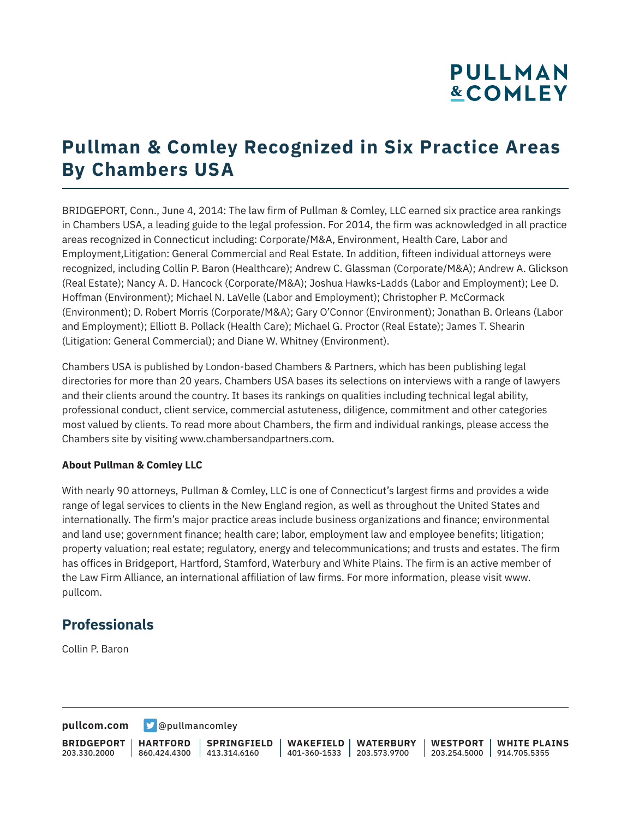# **PULLMAN &COMLEY**

## **Pullman & Comley Recognized in Six Practice Areas By Chambers USA**

BRIDGEPORT, Conn., June 4, 2014: The law firm of Pullman & Comley, LLC earned six practice area rankings in Chambers USA, a leading guide to the legal profession. For 2014, the firm was acknowledged in all practice areas recognized in Connecticut including: Corporate/M&A, Environment, Health Care, Labor and Employment,Litigation: General Commercial and Real Estate. In addition, fifteen individual attorneys were recognized, including Collin P. Baron (Healthcare); Andrew C. Glassman (Corporate/M&A); Andrew A. Glickson (Real Estate); Nancy A. D. Hancock (Corporate/M&A); Joshua Hawks-Ladds (Labor and Employment); Lee D. Hoffman (Environment); Michael N. LaVelle (Labor and Employment); Christopher P. McCormack (Environment); D. Robert Morris (Corporate/M&A); Gary O'Connor (Environment); Jonathan B. Orleans (Labor and Employment); Elliott B. Pollack (Health Care); Michael G. Proctor (Real Estate); James T. Shearin (Litigation: General Commercial); and Diane W. Whitney (Environment).

Chambers USA is published by London-based Chambers & Partners, which has been publishing legal directories for more than 20 years. Chambers USA bases its selections on interviews with a range of lawyers and their clients around the country. It bases its rankings on qualities including technical legal ability, professional conduct, client service, commercial astuteness, diligence, commitment and other categories most valued by clients. To read more about Chambers, the firm and individual rankings, please access the Chambers site by visiting www.chambersandpartners.com.

#### **About Pullman & Comley LLC**

With nearly 90 attorneys, Pullman & Comley, LLC is one of Connecticut's largest firms and provides a wide range of legal services to clients in the New England region, as well as throughout the United States and internationally. The firm's major practice areas include business organizations and finance; environmental and land use; government finance; health care; labor, employment law and employee benefits; litigation; property valuation; real estate; regulatory, energy and telecommunications; and trusts and estates. The firm has offices in Bridgeport, Hartford, Stamford, Waterbury and White Plains. The firm is an active member of the Law Firm Alliance, an international affiliation of law firms. For more information, please visit www. pullcom.

### **Professionals**

Collin P. Baron

**[pullcom.com](https://www.pullcom.com) g** [@pullmancomley](https://twitter.com/PullmanComley)

**BRIDGEPORT** 203.330.2000 **HARTFORD** 860.424.4300 413.314.6160

**SPRINGFIELD**

**WAKEFIELD** 401-360-1533 203.573.9700 **WATERBURY**

**WESTPORT WHITE PLAINS** 203.254.5000 914.705.5355